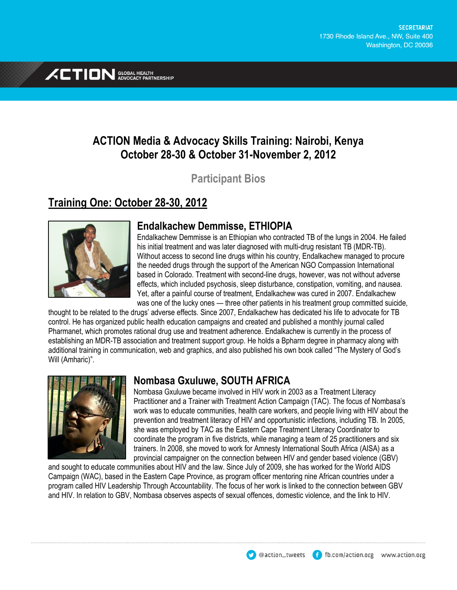

# **ACTION Media & Advocacy Skills Training: Nairobi, Kenya October 28-30 & October 31-November 2, 2012**

**Participant Bios**

# **Training One: October 28-30, 2012**



### **Endalkachew Demmisse, ETHIOPIA**

Endalkachew Demmisse is an Ethiopian who contracted TB of the lungs in 2004. He failed his initial treatment and was later diagnosed with multi-drug resistant TB (MDR-TB). Without access to second line drugs within his country, Endalkachew managed to procure the needed drugs through the support of the American NGO Compassion International based in Colorado. Treatment with second-line drugs, however, was not without adverse effects, which included psychosis, sleep disturbance, constipation, vomiting, and nausea. Yet, after a painful course of treatment, Endalkachew was cured in 2007. Endalkachew was one of the lucky ones — three other patients in his treatment group committed suicide,

thought to be related to the drugs' adverse effects. Since 2007, Endalkachew has dedicated his life to advocate for TB control. He has organized public health education campaigns and created and published a monthly journal called Pharmanet, which promotes rational drug use and treatment adherence. Endalkachew is currently in the process of establishing an MDR-TB association and treatment support group. He holds a Bpharm degree in pharmacy along with additional training in communication, web and graphics, and also published his own book called "The Mystery of God's Will (Amharic)".



### **Nombasa Gxuluwe, SOUTH AFRICA**

Nombasa Gxuluwe became involved in HIV work in 2003 as a Treatment Literacy Practitioner and a Trainer with Treatment Action Campaign (TAC). The focus of Nombasa's work was to educate communities, health care workers, and people living with HIV about the prevention and treatment literacy of HIV and opportunistic infections, including TB. In 2005, she was employed by TAC as the Eastern Cape Treatment Literacy Coordinator to coordinate the program in five districts, while managing a team of 25 practitioners and six trainers. In 2008, she moved to work for Amnesty International South Africa (AISA) as a provincial campaigner on the connection between HIV and gender based violence (GBV)

and sought to educate communities about HIV and the law. Since July of 2009, she has worked for the World AIDS Campaign (WAC), based in the Eastern Cape Province, as program officer mentoring nine African countries under a program called HIV Leadership Through Accountability. The focus of her work is linked to the connection between GBV and HIV. In relation to GBV, Nombasa observes aspects of sexual offences, domestic violence, and the link to HIV.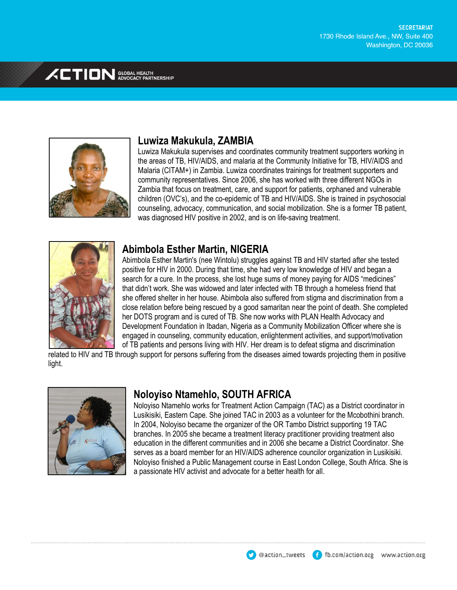

## **Luwiza Makukula, ZAMBIA**

Luwiza Makukula supervises and coordinates community treatment supporters working in the areas of TB, HIV/AIDS, and malaria at the Community Initiative for TB, HIV/AIDS and Malaria (CITAM+) in Zambia. Luwiza coordinates trainings for treatment supporters and community representatives. Since 2006, she has worked with three different NGOs in Zambia that focus on treatment, care, and support for patients, orphaned and vulnerable children (OVC's), and the co-epidemic of TB and HIV/AIDS. She is trained in psychosocial counseling, advocacy, communication, and social mobilization. She is a former TB patient, was diagnosed HIV positive in 2002, and is on life-saving treatment.



### **Abimbola Esther Martin, NIGERIA**

Abimbola Esther Martin's (nee Wintolu) struggles against TB and HIV started after she tested positive for HIV in 2000. During that time, she had very low knowledge of HIV and began a search for a cure. In the process, she lost huge sums of money paying for AIDS "medicines" that didn't work. She was widowed and later infected with TB through a homeless friend that she offered shelter in her house. Abimbola also suffered from stigma and discrimination from a close relation before being rescued by a good samaritan near the point of death. She completed her DOTS program and is cured of TB. She now works with PLAN Health Advocacy and Development Foundation in Ibadan, Nigeria as a Community Mobilization Officer where she is engaged in counseling, community education, enlightenment activities, and support/motivation of TB patients and persons living with HIV. Her dream is to defeat stigma and discrimination

related to HIV and TB through support for persons suffering from the diseases aimed towards projecting them in positive light.



## **Noloyiso Ntamehlo, SOUTH AFRICA**

Noloyiso Ntamehlo works for Treatment Action Campaign (TAC) as a District coordinator in Lusikisiki, Eastern Cape. She joined TAC in 2003 as a volunteer for the Mcobothini branch. In 2004, Noloyiso became the organizer of the OR Tambo District supporting 19 TAC branches. In 2005 she became a treatment literacy practitioner providing treatment also education in the different communities and in 2006 she became a District Coordinator. She serves as a board member for an HIV/AIDS adherence councilor organization in Lusikisiki. Noloyiso finished a Public Management course in East London College, South Africa. She is a passionate HIV activist and advocate for a better health for all.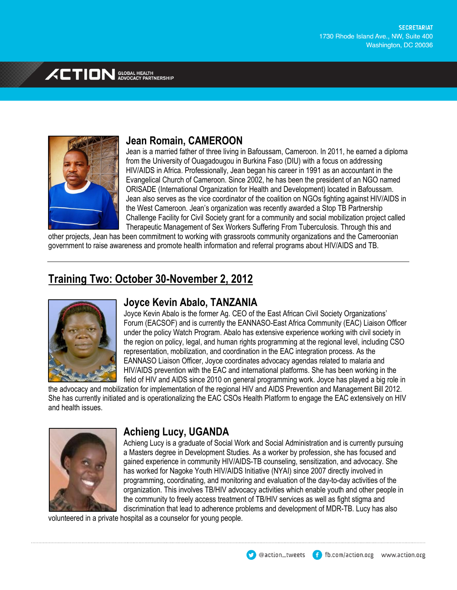

# **Jean Romain, CAMEROON**

Jean is a married father of three living in Bafoussam, Cameroon. In 2011, he earned a diploma from the University of Ouagadougou in Burkina Faso (DIU) with a focus on addressing HIV/AIDS in Africa. Professionally, Jean began his career in 1991 as an accountant in the Evangelical Church of Cameroon. Since 2002, he has been the president of an NGO named ORISADE (International Organization for Health and Development) located in Bafoussam. Jean also serves as the vice coordinator of the coalition on NGOs fighting against HIV/AIDS in the West Cameroon. Jean's organization was recently awarded a Stop TB Partnership Challenge Facility for Civil Society grant for a community and social mobilization project called Therapeutic Management of Sex Workers Suffering From Tuberculosis. Through this and

other projects, Jean has been commitment to working with grassroots community organizations and the Cameroonian government to raise awareness and promote health information and referral programs about HIV/AIDS and TB.

# **Training Two: October 30-November 2, 2012**



### **Joyce Kevin Abalo, TANZANIA**

Joyce Kevin Abalo is the former Ag. CEO of the East African Civil Society Organizations' Forum (EACSOF) and is currently the EANNASO-East Africa Community (EAC) Liaison Officer under the policy Watch Program. Abalo has extensive experience working with civil society in the region on policy, legal, and human rights programming at the regional level, including CSO representation, mobilization, and coordination in the EAC integration process. As the EANNASO Liaison Officer, Joyce coordinates advocacy agendas related to malaria and HIV/AIDS prevention with the EAC and international platforms. She has been working in the field of HIV and AIDS since 2010 on general programming work. Joyce has played a big role in

the advocacy and mobilization for implementation of the regional HIV and AIDS Prevention and Management Bill 2012. She has currently initiated and is operationalizing the EAC CSOs Health Platform to engage the EAC extensively on HIV and health issues.



## **Achieng Lucy, UGANDA**

Achieng Lucy is a graduate of Social Work and Social Administration and is currently pursuing a Masters degree in Development Studies. As a worker by profession, she has focused and gained experience in community HIV/AIDS-TB counseling, sensitization, and advocacy. She has worked for Nagoke Youth HIV/AIDS Initiative (NYAI) since 2007 directly involved in programming, coordinating, and monitoring and evaluation of the day-to-day activities of the organization. This involves TB/HIV advocacy activities which enable youth and other people in the community to freely access treatment of TB/HIV services as well as fight stigma and discrimination that lead to adherence problems and development of MDR-TB. Lucy has also

volunteered in a private hospital as a counselor for young people.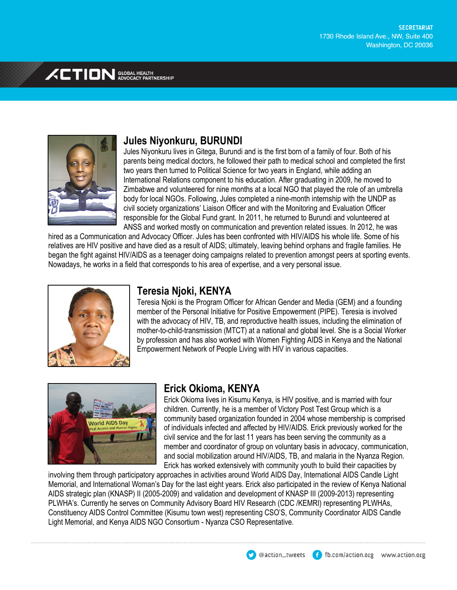

# **Jules Niyonkuru, BURUNDI**

Jules Niyonkuru lives in Gitega, Burundi and is the first born of a family of four. Both of his parents being medical doctors, he followed their path to medical school and completed the first two years then turned to Political Science for two years in England, while adding an International Relations component to his education. After graduating in 2009, he moved to Zimbabwe and volunteered for nine months at a local NGO that played the role of an umbrella body for local NGOs. Following, Jules completed a nine-month internship with the UNDP as civil society organizations' Liaison Officer and with the Monitoring and Evaluation Officer responsible for the Global Fund grant. In 2011, he returned to Burundi and volunteered at ANSS and worked mostly on communication and prevention related issues. In 2012, he was

hired as a Communication and Advocacy Officer. Jules has been confronted with HIV/AIDS his whole life. Some of his relatives are HIV positive and have died as a result of AIDS; ultimately, leaving behind orphans and fragile families. He began the fight against HIV/AIDS as a teenager doing campaigns related to prevention amongst peers at sporting events. Nowadays, he works in a field that corresponds to his area of expertise, and a very personal issue.



# **Teresia Njoki, KENYA**

Teresia Njoki is the Program Officer for African Gender and Media (GEM) and a founding member of the Personal Initiative for Positive Empowerment (PIPE). Teresia is involved with the advocacy of HIV, TB, and reproductive health issues, including the elimination of mother-to-child-transmission (MTCT) at a national and global level. She is a Social Worker by profession and has also worked with Women Fighting AIDS in Kenya and the National Empowerment Network of People Living with HIV in various capacities.



## **Erick Okioma, KENYA**

Erick Okioma lives in Kisumu Kenya, is HIV positive, and is married with four children. Currently, he is a member of Victory Post Test Group which is a community based organization founded in 2004 whose membership is comprised of individuals infected and affected by HIV/AIDS. Erick previously worked for the civil service and the for last 11 years has been serving the community as a member and coordinator of group on voluntary basis in advocacy, communication, and social mobilization around HIV/AIDS, TB, and malaria in the Nyanza Region. Erick has worked extensively with community youth to build their capacities by

involving them through participatory approaches in activities around World AIDS Day, International AIDS Candle Light Memorial, and International Woman's Day for the last eight years. Erick also participated in the review of Kenya National AIDS strategic plan (KNASP) II (2005-2009) and validation and development of KNASP III (2009-2013) representing PLWHA's. Currently he serves on Community Advisory Board HIV Research (CDC /KEMRI) representing PLWHAs, Constituency AIDS Control Committee (Kisumu town west) representing CSO'S, Community Coordinator AIDS Candle Light Memorial, and Kenya AIDS NGO Consortium - Nyanza CSO Representative.